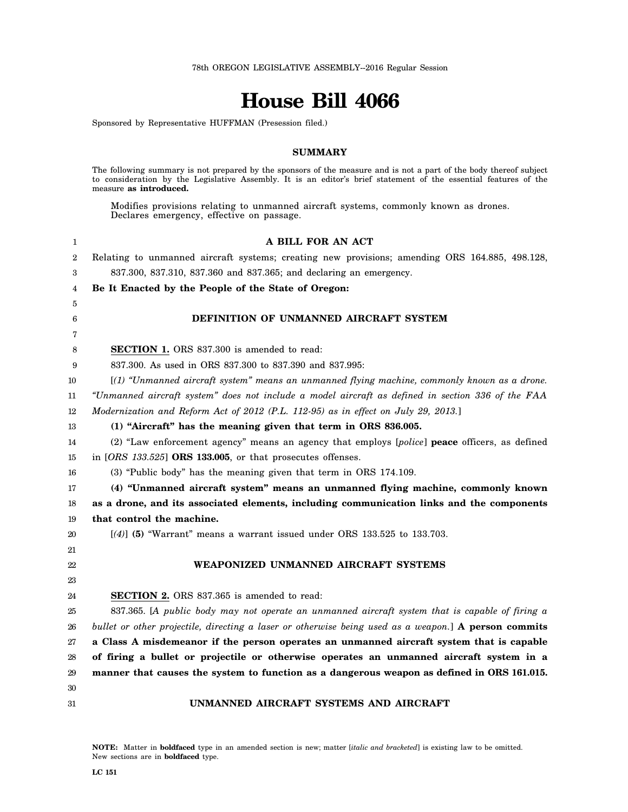# **House Bill 4066**

Sponsored by Representative HUFFMAN (Presession filed.)

#### **SUMMARY**

The following summary is not prepared by the sponsors of the measure and is not a part of the body thereof subject to consideration by the Legislative Assembly. It is an editor's brief statement of the essential features of the measure **as introduced.**

Modifies provisions relating to unmanned aircraft systems, commonly known as drones. Declares emergency, effective on passage.

| 1              | A BILL FOR AN ACT                                                                                    |
|----------------|------------------------------------------------------------------------------------------------------|
| $\overline{2}$ | Relating to unmanned aircraft systems; creating new provisions; amending ORS 164.885, 498.128,       |
| 3              | 837.300, 837.310, 837.360 and 837.365; and declaring an emergency.                                   |
| 4              | Be It Enacted by the People of the State of Oregon:                                                  |
| 5              |                                                                                                      |
| 6              | DEFINITION OF UNMANNED AIRCRAFT SYSTEM                                                               |
| 7              |                                                                                                      |
| 8              | <b>SECTION 1.</b> ORS 837.300 is amended to read:                                                    |
| 9              | 837.300. As used in ORS 837.300 to 837.390 and 837.995:                                              |
| 10             | [(1) "Unmanned aircraft system" means an unmanned flying machine, commonly known as a drone.         |
| 11             | "Unmanned aircraft system" does not include a model aircraft as defined in section 336 of the FAA    |
| 12             | Modernization and Reform Act of 2012 (P.L. 112-95) as in effect on July 29, 2013.]                   |
| 13             | (1) "Aircraft" has the meaning given that term in ORS 836.005.                                       |
| 14             | (2) "Law enforcement agency" means an agency that employs [police] <b>peace</b> officers, as defined |
| 15             | in $[ORS\ 133.525]$ ORS 133.005, or that prosecutes offenses.                                        |
| 16             | (3) "Public body" has the meaning given that term in ORS 174.109.                                    |
| 17             | (4) "Unmanned aircraft system" means an unmanned flying machine, commonly known                      |
| 18             | as a drone, and its associated elements, including communication links and the components            |
| 19             | that control the machine.                                                                            |
| 20             | $[(4)]$ (5) "Warrant" means a warrant issued under ORS 133.525 to 133.703.                           |
| 21             |                                                                                                      |
| 22             | WEAPONIZED UNMANNED AIRCRAFT SYSTEMS                                                                 |
| 23             |                                                                                                      |
| 24             | <b>SECTION 2.</b> ORS 837.365 is amended to read:                                                    |
| 25             | 837.365. [A public body may not operate an unmanned aircraft system that is capable of firing a      |
| 26             | bullet or other projectile, directing a laser or otherwise being used as a weapon.] A person commits |
| 27             | a Class A misdemeanor if the person operates an unmanned aircraft system that is capable             |
| 28             | of firing a bullet or projectile or otherwise operates an unmanned aircraft system in a              |
| 29             | manner that causes the system to function as a dangerous weapon as defined in ORS 161.015.           |
| 30             |                                                                                                      |
| 31             | UNMANNED AIRCRAFT SYSTEMS AND AIRCRAFT                                                               |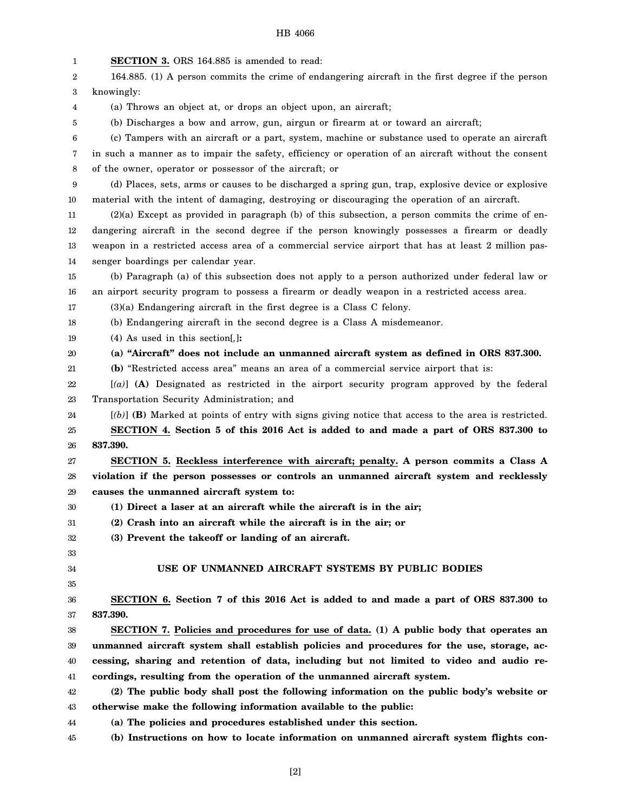## HB 4066

| 1                | SECTION 3. ORS 164.885 is amended to read:                                                           |
|------------------|------------------------------------------------------------------------------------------------------|
| 2                | 164.885. (1) A person commits the crime of endangering aircraft in the first degree if the person    |
| 3                | knowingly:                                                                                           |
| 4                | (a) Throws an object at, or drops an object upon, an aircraft;                                       |
| 5                | (b) Discharges a bow and arrow, gun, airgun or firearm at or toward an aircraft;                     |
| 6                | (c) Tampers with an aircraft or a part, system, machine or substance used to operate an aircraft     |
| 7                | in such a manner as to impair the safety, efficiency or operation of an aircraft without the consent |
| 8                | of the owner, operator or possessor of the aircraft; or                                              |
| $\boldsymbol{9}$ | (d) Places, sets, arms or causes to be discharged a spring gun, trap, explosive device or explosive  |
| 10               | material with the intent of damaging, destroying or discouraging the operation of an aircraft.       |
| 11               | $(2)(a)$ Except as provided in paragraph (b) of this subsection, a person commits the crime of en-   |
| 12               | dangering aircraft in the second degree if the person knowingly possesses a firearm or deadly        |
| 13               | weapon in a restricted access area of a commercial service airport that has at least 2 million pas-  |
| 14               | senger boardings per calendar year.                                                                  |
| 15               | (b) Paragraph (a) of this subsection does not apply to a person authorized under federal law or      |
| 16               | an airport security program to possess a firearm or deadly weapon in a restricted access area.       |
| 17               | $(3)(a)$ Endangering aircraft in the first degree is a Class C felony.                               |
| 18               | (b) Endangering aircraft in the second degree is a Class A misdemeanor.                              |
| 19               | $(4)$ As used in this section[,]:                                                                    |
| 20               | (a) "Aircraft" does not include an unmanned aircraft system as defined in ORS 837.300.               |
| 21               | (b) "Restricted access area" means an area of a commercial service airport that is:                  |
| 22               | $[(a)]$ (A) Designated as restricted in the airport security program approved by the federal         |
| 23               | Transportation Security Administration; and                                                          |
| 24               | [(b)] (B) Marked at points of entry with signs giving notice that access to the area is restricted.  |
| 25               | SECTION 4. Section 5 of this 2016 Act is added to and made a part of ORS 837.300 to                  |
| 26               | 837.390.                                                                                             |
| 27               | SECTION 5. Reckless interference with aircraft; penalty. A person commits a Class A                  |
| 28               | violation if the person possesses or controls an unmanned aircraft system and recklessly             |
| 29               | causes the unmanned aircraft system to:                                                              |
| 30               | (1) Direct a laser at an aircraft while the aircraft is in the air;                                  |
| 31               | (2) Crash into an aircraft while the aircraft is in the air; or                                      |
| 32               | (3) Prevent the takeoff or landing of an aircraft.                                                   |
| 33               | USE OF UNMANNED AIRCRAFT SYSTEMS BY PUBLIC BODIES                                                    |
| 34               |                                                                                                      |
| 35               | SECTION 6. Section 7 of this 2016 Act is added to and made a part of ORS 837.300 to                  |
| 36<br>37         | 837.390.                                                                                             |
| 38               | SECTION 7. Policies and procedures for use of data. (1) A public body that operates an               |
| 39               | unmanned aircraft system shall establish policies and procedures for the use, storage, ac-           |
| 40               | cessing, sharing and retention of data, including but not limited to video and audio re-             |
| 41               | cordings, resulting from the operation of the unmanned aircraft system.                              |
| 42               | (2) The public body shall post the following information on the public body's website or             |
| 43               | otherwise make the following information available to the public:                                    |
| 44               | (a) The policies and procedures established under this section.                                      |
|                  | (b) Instructions on how to locate information on unmanned aircraft system flights con-               |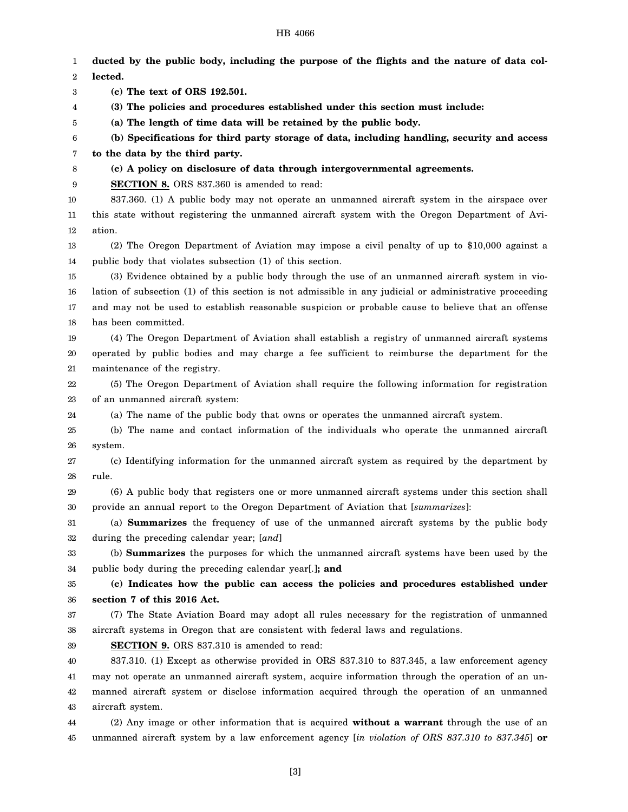#### HB 4066

1 2 3 4 5 6 7 8 9 10 11 12 13 14 15 16 17 18 19 20 21 22 23 24 25 26 27 28 29 30 31 32 33 34 35 36 37 38 39 40 41 42 43 44 45 **ducted by the public body, including the purpose of the flights and the nature of data collected. (c) The text of ORS 192.501. (3) The policies and procedures established under this section must include: (a) The length of time data will be retained by the public body. (b) Specifications for third party storage of data, including handling, security and access to the data by the third party. (c) A policy on disclosure of data through intergovernmental agreements. SECTION 8.** ORS 837.360 is amended to read: 837.360. (1) A public body may not operate an unmanned aircraft system in the airspace over this state without registering the unmanned aircraft system with the Oregon Department of Aviation. (2) The Oregon Department of Aviation may impose a civil penalty of up to \$10,000 against a public body that violates subsection (1) of this section. (3) Evidence obtained by a public body through the use of an unmanned aircraft system in violation of subsection (1) of this section is not admissible in any judicial or administrative proceeding and may not be used to establish reasonable suspicion or probable cause to believe that an offense has been committed. (4) The Oregon Department of Aviation shall establish a registry of unmanned aircraft systems operated by public bodies and may charge a fee sufficient to reimburse the department for the maintenance of the registry. (5) The Oregon Department of Aviation shall require the following information for registration of an unmanned aircraft system: (a) The name of the public body that owns or operates the unmanned aircraft system. (b) The name and contact information of the individuals who operate the unmanned aircraft system. (c) Identifying information for the unmanned aircraft system as required by the department by rule. (6) A public body that registers one or more unmanned aircraft systems under this section shall provide an annual report to the Oregon Department of Aviation that [*summarizes*]: (a) **Summarizes** the frequency of use of the unmanned aircraft systems by the public body during the preceding calendar year; [*and*] (b) **Summarizes** the purposes for which the unmanned aircraft systems have been used by the public body during the preceding calendar year[*.*]**; and (c) Indicates how the public can access the policies and procedures established under section 7 of this 2016 Act.** (7) The State Aviation Board may adopt all rules necessary for the registration of unmanned aircraft systems in Oregon that are consistent with federal laws and regulations. **SECTION 9.** ORS 837.310 is amended to read: 837.310. (1) Except as otherwise provided in ORS 837.310 to 837.345, a law enforcement agency may not operate an unmanned aircraft system, acquire information through the operation of an unmanned aircraft system or disclose information acquired through the operation of an unmanned aircraft system. (2) Any image or other information that is acquired **without a warrant** through the use of an unmanned aircraft system by a law enforcement agency [*in violation of ORS 837.310 to 837.345*] **or**